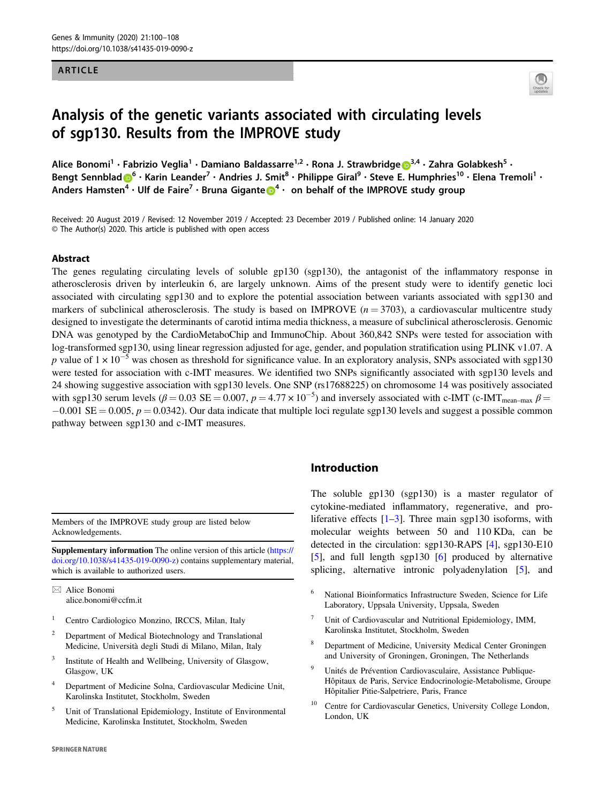#### ARTICLE



# Analysis of the genetic variants associated with circulating levels of sgp130. Results from the IMPROVE study

Alice Bonomi<sup>1</sup> • Fabrizio Veglia<sup>1</sup> • Damiano Baldassarre<sup>1,2</sup> • Rona J. Strawbridge D<sup>[3](http://orcid.org/0000-0001-8506-3585),4</sup> • Zahra Golabkesh<sup>5</sup> • Bengt Sennbla[d](http://orcid.org/0000-0002-4360-8003)  $\bigcirc^6$  $\bigcirc^6$  • Karin Leander<sup>7</sup> • Andries J. Smit<sup>8</sup> • Philippe Giral<sup>9</sup> • Steve E. Humphries<sup>10</sup> • Elena Tremoli<sup>1</sup> • Anders Hamsten<sup>[4](http://orcid.org/0000-0003-4508-7990)</sup> • Ulf d[e](http://orcid.org/0000-0003-4508-7990) Faire<sup>7</sup> • Bruna Gigante  $\bigcirc$ <sup>4</sup> • on behalf of the IMPROVE study group

Received: 20 August 2019 / Revised: 12 November 2019 / Accepted: 23 December 2019 / Published online: 14 January 2020 © The Author(s) 2020. This article is published with open access

#### Abstract

The genes regulating circulating levels of soluble gp130 (sgp130), the antagonist of the inflammatory response in atherosclerosis driven by interleukin 6, are largely unknown. Aims of the present study were to identify genetic loci associated with circulating sgp130 and to explore the potential association between variants associated with sgp130 and markers of subclinical atherosclerosis. The study is based on IMPROVE  $(n = 3703)$ , a cardiovascular multicentre study designed to investigate the determinants of carotid intima media thickness, a measure of subclinical atherosclerosis. Genomic DNA was genotyped by the CardioMetaboChip and ImmunoChip. About 360,842 SNPs were tested for association with log-transformed sgp130, using linear regression adjusted for age, gender, and population stratification using PLINK v1.07. A p value of  $1 \times 10^{-5}$  was chosen as threshold for significance value. In an exploratory analysis, SNPs associated with sgp130 were tested for association with c-IMT measures. We identified two SNPs significantly associated with sgp130 levels and 24 showing suggestive association with sgp130 levels. One SNP (rs17688225) on chromosome 14 was positively associated with sgp130 serum levels ( $\beta = 0.03$  SE = 0.007,  $p = 4.77 \times 10^{-5}$ ) and inversely associated with c-IMT (c-IMT<sub>mean-max</sub>  $\beta$  =  $-0.001$  SE = 0.005,  $p = 0.0342$ ). Our data indicate that multiple loci regulate sgp130 levels and suggest a possible common pathway between sgp130 and c-IMT measures.

Members of the IMPROVE study group are listed below Acknowledgements.

Supplementary information The online version of this article ([https://](https://doi.org/10.1038/s41435-019-0090-z) [doi.org/10.1038/s41435-019-0090-z](https://doi.org/10.1038/s41435-019-0090-z)) contains supplementary material, which is available to authorized users.

 $\boxtimes$  Alice Bonomi [alice.bonomi@ccfm.it](mailto:alice.bonomi@ccfm.it)

- Centro Cardiologico Monzino, IRCCS, Milan, Italy
- <sup>2</sup> Department of Medical Biotechnology and Translational Medicine, Università degli Studi di Milano, Milan, Italy
- <sup>3</sup> Institute of Health and Wellbeing, University of Glasgow, Glasgow, UK
- <sup>4</sup> Department of Medicine Solna, Cardiovascular Medicine Unit, Karolinska Institutet, Stockholm, Sweden
- <sup>5</sup> Unit of Translational Epidemiology, Institute of Environmental Medicine, Karolinska Institutet, Stockholm, Sweden

#### **SPRINGER NATURE**

# Introduction

The soluble gp130 (sgp130) is a master regulator of cytokine-mediated inflammatory, regenerative, and proliferative effects  $[1-3]$  $[1-3]$  $[1-3]$  $[1-3]$ . Three main sgp130 isoforms, with molecular weights between 50 and 110 KDa, can be detected in the circulation: sgp130-RAPS [[4\]](#page-7-0), sgp130-E10 [\[5](#page-7-0)], and full length sgp130 [[6\]](#page-7-0) produced by alternative splicing, alternative intronic polyadenylation [\[5](#page-7-0)], and

- <sup>6</sup> National Bioinformatics Infrastructure Sweden, Science for Life Laboratory, Uppsala University, Uppsala, Sweden
- Unit of Cardiovascular and Nutritional Epidemiology, IMM, Karolinska Institutet, Stockholm, Sweden
- <sup>8</sup> Department of Medicine, University Medical Center Groningen and University of Groningen, Groningen, The Netherlands
- <sup>9</sup> Unités de Prévention Cardiovasculaire, Assistance Publique-Hôpitaux de Paris, Service Endocrinologie-Metabolisme, Groupe Hôpitalier Pitie-Salpetriere, Paris, France
- Centre for Cardiovascular Genetics, University College London, London, UK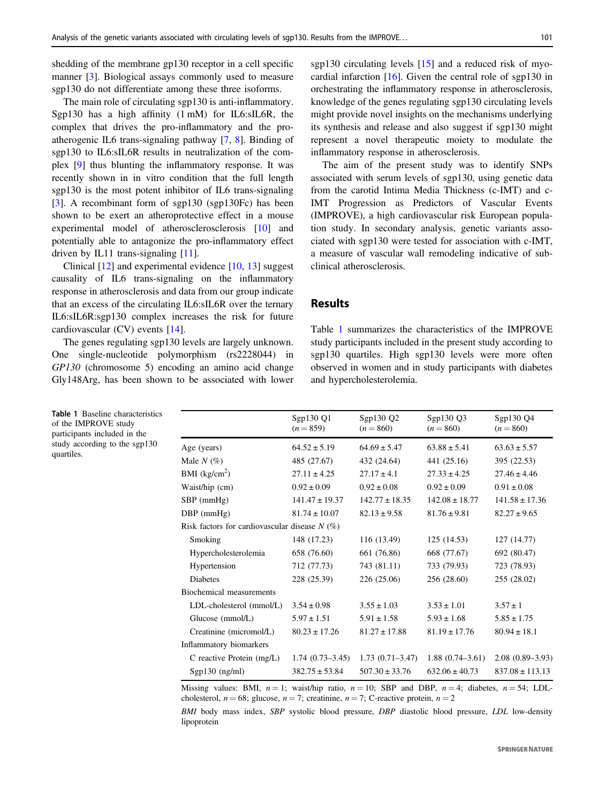shedding of the membrane gp130 receptor in a cell specific manner [[3\]](#page-7-0). Biological assays commonly used to measure sgp130 do not differentiate among these three isoforms.

The main role of circulating sgp130 is anti-inflammatory. Sgp130 has a high affinity (1 mM) for IL6:sIL6R, the complex that drives the pro-inflammatory and the proatherogenic IL6 trans-signaling pathway [\[7](#page-7-0), [8](#page-7-0)]. Binding of sgp130 to IL6:sIL6R results in neutralization of the complex [[9\]](#page-7-0) thus blunting the inflammatory response. It was recently shown in in vitro condition that the full length sgp130 is the most potent inhibitor of IL6 trans-signaling [\[3](#page-7-0)]. A recombinant form of sgp130 (sgp130Fc) has been shown to be exert an atheroprotective effect in a mouse experimental model of atherosclerosclerosis [\[10](#page-7-0)] and potentially able to antagonize the pro-inflammatory effect driven by IL11 trans-signaling  $[11]$  $[11]$ .

Clinical [[12\]](#page-7-0) and experimental evidence [\[10](#page-7-0), [13](#page-7-0)] suggest causality of IL6 trans-signaling on the inflammatory response in atherosclerosis and data from our group indicate that an excess of the circulating IL6:sIL6R over the ternary IL6:sIL6R:sgp130 complex increases the risk for future cardiovascular (CV) events [\[14](#page-7-0)].

The genes regulating sgp130 levels are largely unknown. One single-nucleotide polymorphism (rs2228044) in GP130 (chromosome 5) encoding an amino acid change Gly148Arg, has been shown to be associated with lower sgp130 circulating levels [[15\]](#page-7-0) and a reduced risk of myocardial infarction [\[16](#page-7-0)]. Given the central role of sgp130 in orchestrating the inflammatory response in atherosclerosis, knowledge of the genes regulating sgp130 circulating levels might provide novel insights on the mechanisms underlying its synthesis and release and also suggest if sgp130 might represent a novel therapeutic moiety to modulate the inflammatory response in atherosclerosis.

The aim of the present study was to identify SNPs associated with serum levels of sgp130, using genetic data from the carotid Intima Media Thickness (c-IMT) and c-IMT Progression as Predictors of Vascular Events (IMPROVE), a high cardiovascular risk European population study. In secondary analysis, genetic variants associated with sgp130 were tested for association with c-IMT, a measure of vascular wall remodeling indicative of subclinical atherosclerosis.

# Results

Table 1 summarizes the characteristics of the IMPROVE study participants included in the present study according to sgp130 quartiles. High sgp130 levels were more often observed in women and in study participants with diabetes and hypercholesterolemia.

| Sgp130 Q1<br>$(n = 859)$                        | Sgp130 Q2<br>$(n = 860)$ | Sgp130 Q3<br>$(n = 860)$ | Sgp130 Q4<br>$(n = 860)$ |  |  |  |  |
|-------------------------------------------------|--------------------------|--------------------------|--------------------------|--|--|--|--|
| $64.52 \pm 5.19$                                | $64.69 \pm 5.47$         | $63.88 \pm 5.41$         | $63.63 \pm 5.57$         |  |  |  |  |
| 485 (27.67)                                     | 432 (24.64)              | 441 (25.16)              | 395 (22.53)              |  |  |  |  |
| $27.11 \pm 4.25$                                | $27.17 \pm 4.1$          | $27.33 \pm 4.25$         | $27.46 \pm 4.46$         |  |  |  |  |
| $0.92 \pm 0.09$                                 | $0.92 \pm 0.08$          | $0.92 \pm 0.09$          | $0.91 \pm 0.08$          |  |  |  |  |
| $141.47 \pm 19.37$                              | $142.77 \pm 18.35$       | $142.08 \pm 18.77$       | $141.58 \pm 17.36$       |  |  |  |  |
| $81.74 \pm 10.07$                               | $82.13 \pm 9.58$         | $81.76 \pm 9.81$         | $82.27 \pm 9.65$         |  |  |  |  |
| Risk factors for cardiovascular disease $N(\%)$ |                          |                          |                          |  |  |  |  |
| 148 (17.23)                                     | 116 (13.49)              | 125(14.53)               | 127 (14.77)              |  |  |  |  |
| 658 (76.60)                                     | 661 (76.86)              | 668 (77.67)              | 692 (80.47)              |  |  |  |  |
| 712 (77.73)                                     | 743 (81.11)              | 733 (79.93)              | 723 (78.93)              |  |  |  |  |
| 228 (25.39)                                     | 226 (25.06)              | 256 (28.60)              | 255 (28.02)              |  |  |  |  |
|                                                 |                          |                          |                          |  |  |  |  |
| $3.54 \pm 0.98$                                 | $3.55 \pm 1.03$          | $3.53 \pm 1.01$          | $3.57 \pm 1$             |  |  |  |  |
| $5.97 \pm 1.51$                                 | $5.91 \pm 1.58$          | $5.93 \pm 1.68$          | $5.85 \pm 1.75$          |  |  |  |  |
| $80.23 \pm 17.26$                               | $81.27 \pm 17.88$        | $81.19 \pm 17.76$        | $80.94 \pm 18.1$         |  |  |  |  |
|                                                 |                          |                          |                          |  |  |  |  |
| $1.74(0.73-3.45)$                               | $1.73(0.71 - 3.47)$      | $1.88(0.74 - 3.61)$      | $2.08(0.89 - 3.93)$      |  |  |  |  |
| $382.75 \pm 53.84$                              | $507.30 \pm 33.76$       | $632.06 \pm 40.73$       | $837.08 \pm 113.13$      |  |  |  |  |
|                                                 |                          |                          |                          |  |  |  |  |

Missing values: BMI,  $n = 1$ ; waist/hip ratio,  $n = 10$ ; SBP and DBP,  $n = 4$ ; diabetes,  $n = 54$ ; LDLcholesterol,  $n = 68$ ; glucose,  $n = 7$ ; creatinine,  $n = 7$ ; C-reactive protein,  $n = 2$ 

BMI body mass index, SBP systolic blood pressure, DBP diastolic blood pressure, LDL low-density lipoprotein

Table 1 Baseline characteristics of the IMPROVE study participants included in the study according to the sgp130 quartiles.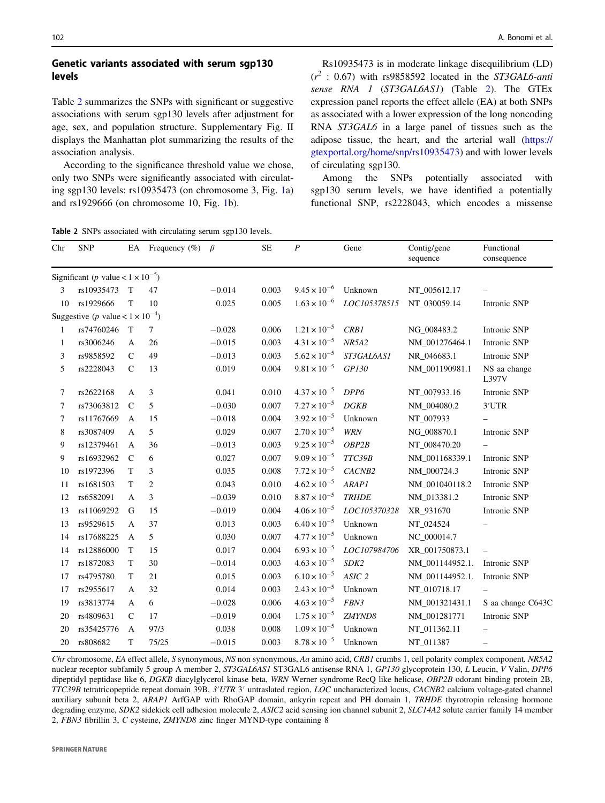# Genetic variants associated with serum sgp130 levels

Table 2 summarizes the SNPs with significant or suggestive associations with serum sgp130 levels after adjustment for age, sex, and population structure. Supplementary Fig. II displays the Manhattan plot summarizing the results of the association analysis.

According to the significance threshold value we chose, only two SNPs were significantly associated with circulating sgp130 levels: rs10935473 (on chromosome 3, Fig. [1a](#page-3-0)) and rs1929666 (on chromosome 10, Fig. [1b](#page-3-0)).

Rs10935473 is in moderate linkage disequilibrium (LD)  $(r^2: 0.67)$  with rs9858592 located in the ST3GAL6-anti sense RNA 1 (ST3GAL6AS1) (Table 2). The GTEx expression panel reports the effect allele (EA) at both SNPs as associated with a lower expression of the long noncoding RNA ST3GAL6 in a large panel of tissues such as the adipose tissue, the heart, and the arterial wall ([https://](https://gtexportal.org/home/snp/rs10935473) [gtexportal.org/home/snp/rs10935473\)](https://gtexportal.org/home/snp/rs10935473) and with lower levels of circulating sgp130.

Among the SNPs potentially associated with sgp130 serum levels, we have identified a potentially functional SNP, rs2228043, which encodes a missense

Table 2 SNPs associated with circulating serum sgp130 levels.

| Chr | <b>SNP</b>                                          | EA            | Frequency $(\%)$ | $\beta$  | <b>SE</b> | $\boldsymbol{P}$      | Gene              | Contig/gene<br>sequence | Functional<br>consequence |  |
|-----|-----------------------------------------------------|---------------|------------------|----------|-----------|-----------------------|-------------------|-------------------------|---------------------------|--|
|     | Significant ( <i>p</i> value < $1 \times 10^{-5}$ ) |               |                  |          |           |                       |                   |                         |                           |  |
| 3   | rs10935473                                          | T             | 47               | $-0.014$ | 0.003     | $9.45 \times 10^{-6}$ | Unknown           | NT_005612.17            |                           |  |
| 10  | rs1929666                                           | $\mathbf T$   | 10               | 0.025    | 0.005     | $1.63 \times 10^{-6}$ | LOC105378515      | NT 030059.14            | Intronic SNP              |  |
|     | Suggestive ( <i>p</i> value < $1 \times 10^{-4}$ )  |               |                  |          |           |                       |                   |                         |                           |  |
| 1   | rs74760246                                          | T             | $\tau$           | $-0.028$ | 0.006     | $1.21 \times 10^{-5}$ | CRB1              | NG_008483.2             | Intronic SNP              |  |
| 1   | rs3006246                                           | $\mathbf{A}$  | 26               | $-0.015$ | 0.003     | $4.31 \times 10^{-5}$ | <b>NR5A2</b>      | NM 001276464.1          | Intronic SNP              |  |
| 3   | rs9858592                                           | $\mathsf{C}$  | 49               | $-0.013$ | 0.003     | $5.62 \times 10^{-5}$ | ST3GAL6AS1        | NR_046683.1             | Intronic SNP              |  |
| 5   | rs2228043                                           | $\mathsf{C}$  | 13               | 0.019    | 0.004     | $9.81 \times 10^{-5}$ | GP130             | NM_001190981.1          | NS aa change<br>L397V     |  |
| 7   | rs2622168                                           | $\mathbf{A}$  | 3                | 0.041    | 0.010     | $4.37 \times 10^{-5}$ | DPP6              | NT_007933.16            | Intronic SNP              |  |
| 7   | rs73063812                                          | $\mathcal{C}$ | 5                | $-0.030$ | 0.007     | $7.27 \times 10^{-5}$ | <b>DGKB</b>       | NM_004080.2             | 3'UTR                     |  |
| 7   | rs11767669                                          | A             | 15               | $-0.018$ | 0.004     | $3.92 \times 10^{-5}$ | Unknown           | NT_007933               |                           |  |
| 8   | rs3087409                                           | A             | 5                | 0.029    | 0.007     | $2.70 \times 10^{-5}$ | <b>WRN</b>        | NG_008870.1             | Intronic SNP              |  |
| 9   | rs12379461                                          | A             | 36               | $-0.013$ | 0.003     | $9.25 \times 10^{-5}$ | OBP2B             | NT_008470.20            |                           |  |
| 9   | rs16932962                                          | $\mathbf C$   | 6                | 0.027    | 0.007     | $9.09 \times 10^{-5}$ | TTC39B            | NM 001168339.1          | Intronic SNP              |  |
| 10  | rs1972396                                           | T             | 3                | 0.035    | 0.008     | $7.72 \times 10^{-5}$ | CACNB2            | NM_000724.3             | Intronic SNP              |  |
| 11  | rs1681503                                           | T             | 2                | 0.043    | 0.010     | $4.62 \times 10^{-5}$ | <b>ARAP1</b>      | NM 001040118.2          | Intronic SNP              |  |
| 12  | rs6582091                                           | $\mathbf{A}$  | 3                | $-0.039$ | 0.010     | $8.87 \times 10^{-5}$ | <b>TRHDE</b>      | NM_013381.2             | Intronic SNP              |  |
| 13  | rs11069292                                          | G             | 15               | $-0.019$ | 0.004     | $4.06 \times 10^{-5}$ | LOC105370328      | XR_931670               | Intronic SNP              |  |
| 13  | rs9529615                                           | A             | 37               | 0.013    | 0.003     | $6.40 \times 10^{-5}$ | Unknown           | NT_024524               |                           |  |
| 14  | rs17688225                                          | A             | 5                | 0.030    | 0.007     | $4.77 \times 10^{-5}$ | Unknown           | NC_000014.7             |                           |  |
| 14  | rs12886000                                          | T             | 15               | 0.017    | 0.004     | $6.93 \times 10^{-5}$ | LOC107984706      | XR_001750873.1          | $\qquad \qquad -$         |  |
| 17  | rs1872083                                           | $\mathbf T$   | 30               | $-0.014$ | 0.003     | $4.63 \times 10^{-5}$ | SDK <sub>2</sub>  | NM_001144952.1.         | Intronic SNP              |  |
| 17  | rs4795780                                           | T             | 21               | 0.015    | 0.003     | $6.10 \times 10^{-5}$ | ASIC <sub>2</sub> | NM_001144952.1.         | Intronic SNP              |  |
| 17  | rs2955617                                           | A             | 32               | 0.014    | 0.003     | $2.43 \times 10^{-5}$ | Unknown           | NT_010718.17            |                           |  |
| 19  | rs3813774                                           | A             | 6                | $-0.028$ | 0.006     | $4.63 \times 10^{-5}$ | FBN3              | NM_001321431.1          | S aa change C643C         |  |
| 20  | rs4809631                                           | $\mathsf{C}$  | 17               | $-0.019$ | 0.004     | $1.75 \times 10^{-5}$ | ZMYND8            | NM_001281771            | Intronic SNP              |  |
| 20  | rs35425776                                          | $\mathbf{A}$  | 97/3             | 0.038    | 0.008     | $1.09 \times 10^{-5}$ | Unknown           | NT 011362.11            |                           |  |
| 20  | rs808682                                            | T             | 75/25            | $-0.015$ | 0.003     | $8.78 \times 10^{-5}$ | Unknown           | NT 011387               | $\qquad \qquad -$         |  |

Chr chromosome, EA effect allele, S synonymous, NS non synonymous, Aa amino acid, CRB1 crumbs 1, cell polarity complex component, NR5A2 nuclear receptor subfamily 5 group A member 2, ST3GAL6AS1 ST3GAL6 antisense RNA 1, GP130 glycoprotein 130, L Leucin, V Valin, DPP6 dipeptidyl peptidase like 6, DGKB diacylglycerol kinase beta, WRN Werner syndrome RecQ like helicase, OBP2B odorant binding protein 2B, TTC39B tetratricopeptide repeat domain 39B, 3′UTR 3′ untraslated region, LOC uncharacterized locus, CACNB2 calcium voltage-gated channel auxiliary subunit beta 2, ARAP1 ArfGAP with RhoGAP domain, ankyrin repeat and PH domain 1, TRHDE thyrotropin releasing hormone degrading enzyme, SDK2 sidekick cell adhesion molecule 2, ASIC2 acid sensing ion channel subunit 2, SLC14A2 solute carrier family 14 member 2, FBN3 fibrillin 3, C cysteine, ZMYND8 zinc finger MYND-type containing 8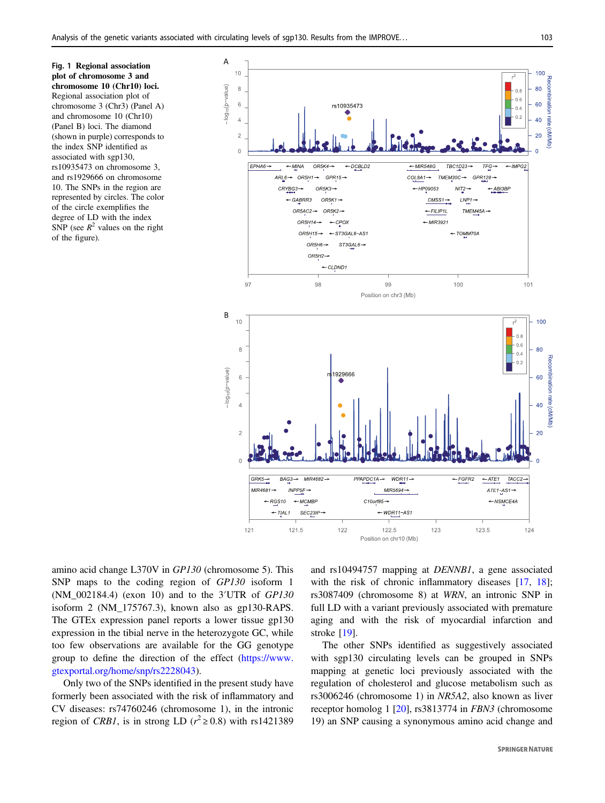<span id="page-3-0"></span>Fig. 1 Regional association plot of chromosome 3 and chromosome 10 (Chr10) loci. Regional association plot of chromosome 3 (Chr3) (Panel A) and chromosome 10 (Chr10) (Panel B) loci. The diamond (shown in purple) corresponds to the index SNP identified as associated with sgp130, rs10935473 on chromosome 3, and rs1929666 on chromosome 10. The SNPs in the region are represented by circles. The color of the circle exemplifies the degree of LD with the index SNP (see  $R^2$  values on the right of the figure).



amino acid change L370V in GP130 (chromosome 5). This SNP maps to the coding region of GP130 isoform 1 (NM\_002184.4) (exon 10) and to the 3′UTR of GP130 isoform 2 (NM\_175767.3), known also as gp130-RAPS. The GTEx expression panel reports a lower tissue gp130 expression in the tibial nerve in the heterozygote GC, while too few observations are available for the GG genotype group to define the direction of the effect ([https://www.](https://www.gtexportal.org/home/snp/rs2228043) [gtexportal.org/home/snp/rs2228043\)](https://www.gtexportal.org/home/snp/rs2228043).

Only two of the SNPs identified in the present study have formerly been associated with the risk of inflammatory and CV diseases: rs74760246 (chromosome 1), in the intronic region of *CRB1*, is in strong LD ( $r^2 \ge 0.8$ ) with rs1421389

and rs10494757 mapping at DENNB1, a gene associated with the risk of chronic inflammatory diseases [\[17](#page-7-0), [18](#page-7-0)]; rs3087409 (chromosome 8) at WRN, an intronic SNP in full LD with a variant previously associated with premature aging and with the risk of myocardial infarction and stroke [[19\]](#page-7-0).

The other SNPs identified as suggestively associated with sgp130 circulating levels can be grouped in SNPs mapping at genetic loci previously associated with the regulation of cholesterol and glucose metabolism such as rs3006246 (chromosome 1) in NR5A2, also known as liver receptor homolog 1 [[20\]](#page-7-0), rs3813774 in FBN3 (chromosome 19) an SNP causing a synonymous amino acid change and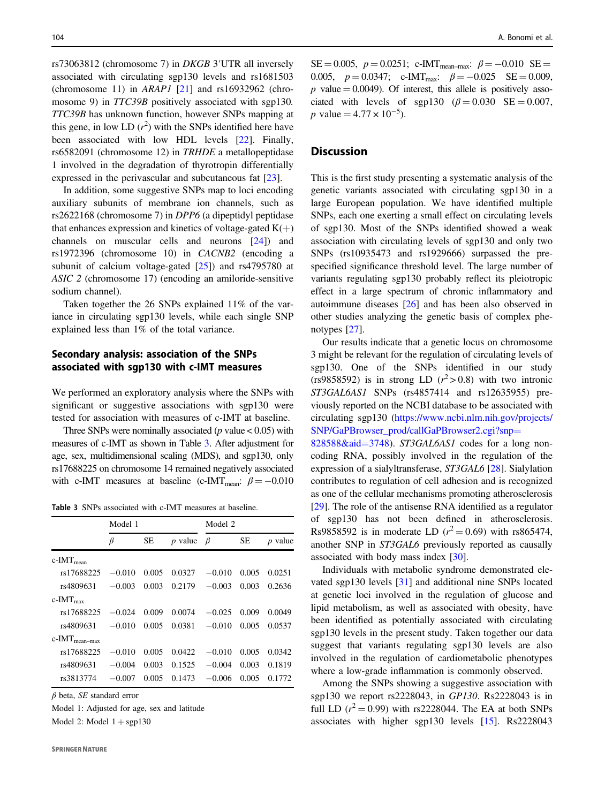rs73063812 (chromosome 7) in DKGB 3′UTR all inversely associated with circulating sgp130 levels and rs1681503 (chromosome 11) in  $ARAPI$  [[21\]](#page-7-0) and rs16932962 (chromosome 9) in *TTC39B* positively associated with sgp130. TTC39B has unknown function, however SNPs mapping at this gene, in low LD  $(r^2)$  with the SNPs identified here have been associated with low HDL levels [\[22](#page-7-0)]. Finally, rs6582091 (chromosome 12) in TRHDE a metallopeptidase 1 involved in the degradation of thyrotropin differentially expressed in the perivascular and subcutaneous fat [\[23](#page-7-0)].

In addition, some suggestive SNPs map to loci encoding auxiliary subunits of membrane ion channels, such as rs2622168 (chromosome 7) in DPP6 (a dipeptidyl peptidase that enhances expression and kinetics of voltage-gated  $K(+)$ channels on muscular cells and neurons [[24\]](#page-7-0)) and rs1972396 (chromosome 10) in CACNB2 (encoding a subunit of calcium voltage-gated [\[25](#page-7-0)]) and rs4795780 at ASIC 2 (chromosome 17) (encoding an amiloride-sensitive sodium channel).

Taken together the 26 SNPs explained 11% of the variance in circulating sgp130 levels, while each single SNP explained less than 1% of the total variance.

# Secondary analysis: association of the SNPs associated with sgp130 with c-IMT measures

We performed an exploratory analysis where the SNPs with significant or suggestive associations with sgp130 were tested for association with measures of c-IMT at baseline.

Three SNPs were nominally associated ( $p$  value  $< 0.05$ ) with measures of c-IMT as shown in Table 3. After adjustment for age, sex, multidimensional scaling (MDS), and sgp130, only rs17688225 on chromosome 14 remained negatively associated with c-IMT measures at baseline (c-IMT<sub>mean</sub>:  $\beta = -0.010$ 

Table 3 SNPs associated with c-IMT measures at baseline.

|                          | Model 1  |       |           | Model 2  |       |           |
|--------------------------|----------|-------|-----------|----------|-------|-----------|
|                          | β        | SЕ    | $p$ value | $\beta$  | SЕ    | $p$ value |
| $c$ -IMT <sub>mean</sub> |          |       |           |          |       |           |
| rs17688225               | $-0.010$ | 0.005 | 0.0327    | $-0.010$ | 0.005 | 0.0251    |
| rs4809631                | $-0.003$ | 0.003 | 0.2179    | $-0.003$ | 0.003 | 0.2636    |
| $c$ -IMT <sub>max</sub>  |          |       |           |          |       |           |
| rs17688225               | $-0.024$ | 0.009 | 0.0074    | $-0.025$ | 0.009 | 0.0049    |
| rs4809631                | $-0.010$ | 0.005 | 0.0381    | $-0.010$ | 0.005 | 0.0537    |
| $c$ -IMT $_{mean-max}$   |          |       |           |          |       |           |
| rs17688225               | $-0.010$ | 0.005 | 0.0422    | $-0.010$ | 0.005 | 0.0342    |
| rs4809631                | $-0.004$ | 0.003 | 0.1525    | $-0.004$ | 0.003 | 0.1819    |
| rs3813774                | $-0.007$ | 0.005 | 0.1473    | $-0.006$ | 0.005 | 0.1772    |
|                          |          |       |           |          |       |           |

 $\beta$  beta, SE standard error

Model 1: Adjusted for age, sex and latitude

Model 2: Model  $1 + \text{sgp130}$ 

 $SE = 0.005$ ,  $p = 0.0251$ ; c-IMT<sub>mean-max</sub>:  $\beta = -0.010$  SE = 0.005,  $p = 0.0347$ ; c-IMT<sub>max</sub>:  $\beta = -0.025$  SE = 0.009, p value  $= 0.0049$ ). Of interest, this allele is positively associated with levels of sgp130  $(\beta = 0.030 \text{ SE} = 0.007$ . *p* value =  $4.77 \times 10^{-5}$ ).

### **Discussion**

This is the first study presenting a systematic analysis of the genetic variants associated with circulating sgp130 in a large European population. We have identified multiple SNPs, each one exerting a small effect on circulating levels of sgp130. Most of the SNPs identified showed a weak association with circulating levels of sgp130 and only two SNPs (rs10935473 and rs1929666) surpassed the prespecified significance threshold level. The large number of variants regulating sgp130 probably reflect its pleiotropic effect in a large spectrum of chronic inflammatory and autoimmune diseases [[26\]](#page-7-0) and has been also observed in other studies analyzing the genetic basis of complex phenotypes [[27\]](#page-7-0).

Our results indicate that a genetic locus on chromosome 3 might be relevant for the regulation of circulating levels of sgp130. One of the SNPs identified in our study (rs9858592) is in strong LD  $(r^2 > 0.8)$  with two intronic ST3GAL6AS1 SNPs (rs4857414 and rs12635955) previously reported on the NCBI database to be associated with circulating sgp130 ([https://www.ncbi.nlm.nih.gov/projects/](https://www.ncbi.nlm.nih.gov/projects/SNP/GaPBrowser_prod/callGaPBrowser2.cgi?snp=828588&aid=3748) [SNP/GaPBrowser\\_prod/callGaPBrowser2.cgi?snp](https://www.ncbi.nlm.nih.gov/projects/SNP/GaPBrowser_prod/callGaPBrowser2.cgi?snp=828588&aid=3748)=

[828588&aid](https://www.ncbi.nlm.nih.gov/projects/SNP/GaPBrowser_prod/callGaPBrowser2.cgi?snp=828588&aid=3748)=3748). ST3GAL6AS1 codes for a long noncoding RNA, possibly involved in the regulation of the expression of a sialyltransferase, ST3GAL6 [\[28](#page-8-0)]. Sialylation contributes to regulation of cell adhesion and is recognized as one of the cellular mechanisms promoting atherosclerosis [\[29](#page-8-0)]. The role of the antisense RNA identified as a regulator of sgp130 has not been defined in atherosclerosis. Rs9858592 is in moderate LD  $(r^2 = 0.69)$  with rs865474, another SNP in ST3GAL6 previously reported as causally associated with body mass index [[30\]](#page-8-0).

Individuals with metabolic syndrome demonstrated elevated sgp130 levels [[31\]](#page-8-0) and additional nine SNPs located at genetic loci involved in the regulation of glucose and lipid metabolism, as well as associated with obesity, have been identified as potentially associated with circulating sgp130 levels in the present study. Taken together our data suggest that variants regulating sgp130 levels are also involved in the regulation of cardiometabolic phenotypes where a low-grade inflammation is commonly observed.

Among the SNPs showing a suggestive association with sgp130 we report rs2228043, in GP130. Rs2228043 is in full LD  $(r^2 = 0.99)$  with rs2228044. The EA at both SNPs associates with higher sgp130 levels [[15](#page-7-0)]. Rs2228043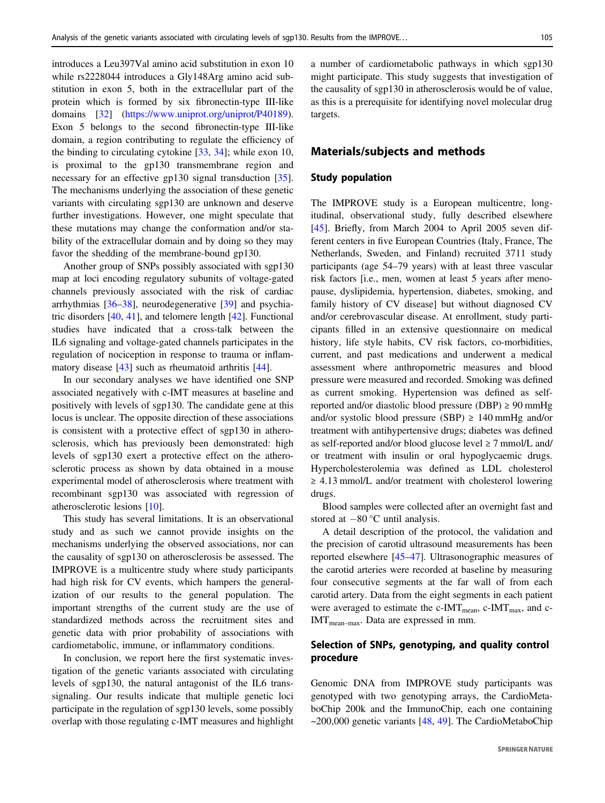introduces a Leu397Val amino acid substitution in exon 10 while rs2228044 introduces a Gly148Arg amino acid substitution in exon 5, both in the extracellular part of the protein which is formed by six fibronectin-type III-like domains [\[32](#page-8-0)] [\(https://www.uniprot.org/uniprot/P40189](https://www.uniprot.org/uniprot/P40189)). Exon 5 belongs to the second fibronectin-type III-like domain, a region contributing to regulate the efficiency of the binding to circulating cytokine  $[33, 34]$  $[33, 34]$  $[33, 34]$ ; while exon 10, is proximal to the gp130 transmembrane region and necessary for an effective gp130 signal transduction [\[35](#page-8-0)]. The mechanisms underlying the association of these genetic variants with circulating sgp130 are unknown and deserve further investigations. However, one might speculate that these mutations may change the conformation and/or stability of the extracellular domain and by doing so they may favor the shedding of the membrane-bound gp130.

Another group of SNPs possibly associated with sgp130 map at loci encoding regulatory subunits of voltage-gated channels previously associated with the risk of cardiac arrhythmias [\[36](#page-8-0)–[38](#page-8-0)], neurodegenerative [\[39](#page-8-0)] and psychiatric disorders [\[40](#page-8-0), [41](#page-8-0)], and telomere length [\[42](#page-8-0)]. Functional studies have indicated that a cross-talk between the IL6 signaling and voltage-gated channels participates in the regulation of nociception in response to trauma or inflammatory disease [\[43](#page-8-0)] such as rheumatoid arthritis [\[44](#page-8-0)].

In our secondary analyses we have identified one SNP associated negatively with c-IMT measures at baseline and positively with levels of sgp130. The candidate gene at this locus is unclear. The opposite direction of these associations is consistent with a protective effect of sgp130 in atherosclerosis, which has previously been demonstrated: high levels of sgp130 exert a protective effect on the atherosclerotic process as shown by data obtained in a mouse experimental model of atherosclerosis where treatment with recombinant sgp130 was associated with regression of atherosclerotic lesions [\[10](#page-7-0)].

This study has several limitations. It is an observational study and as such we cannot provide insights on the mechanisms underlying the observed associations, nor can the causality of sgp130 on atherosclerosis be assessed. The IMPROVE is a multicentre study where study participants had high risk for CV events, which hampers the generalization of our results to the general population. The important strengths of the current study are the use of standardized methods across the recruitment sites and genetic data with prior probability of associations with cardiometabolic, immune, or inflammatory conditions.

In conclusion, we report here the first systematic investigation of the genetic variants associated with circulating levels of sgp130, the natural antagonist of the IL6 transsignaling. Our results indicate that multiple genetic loci participate in the regulation of sgp130 levels, some possibly overlap with those regulating c-IMT measures and highlight a number of cardiometabolic pathways in which sgp130 might participate. This study suggests that investigation of the causality of sgp130 in atherosclerosis would be of value, as this is a prerequisite for identifying novel molecular drug targets.

### Materials/subjects and methods

### Study population

The IMPROVE study is a European multicentre, longitudinal, observational study, fully described elsewhere [\[45](#page-8-0)]. Briefly, from March 2004 to April 2005 seven different centers in five European Countries (Italy, France, The Netherlands, Sweden, and Finland) recruited 3711 study participants (age 54–79 years) with at least three vascular risk factors [i.e., men, women at least 5 years after menopause, dyslipidemia, hypertension, diabetes, smoking, and family history of CV disease] but without diagnosed CV and/or cerebrovascular disease. At enrollment, study participants filled in an extensive questionnaire on medical history, life style habits, CV risk factors, co-morbidities, current, and past medications and underwent a medical assessment where anthropometric measures and blood pressure were measured and recorded. Smoking was defined as current smoking. Hypertension was defined as selfreported and/or diastolic blood pressure (DBP)  $\geq$  90 mmHg and/or systolic blood pressure (SBP)  $\geq 140$  mmHg and/or treatment with antihypertensive drugs; diabetes was defined as self-reported and/or blood glucose level  $\geq$  7 mmol/L and/ or treatment with insulin or oral hypoglycaemic drugs. Hypercholesterolemia was defined as LDL cholesterol ≥ 4.13 mmol/L and/or treatment with cholesterol lowering drugs.

Blood samples were collected after an overnight fast and stored at −80 °C until analysis.

A detail description of the protocol, the validation and the precision of carotid ultrasound measurements has been reported elsewhere [\[45](#page-8-0)–[47\]](#page-8-0). Ultrasonographic measures of the carotid arteries were recorded at baseline by measuring four consecutive segments at the far wall of from each carotid artery. Data from the eight segments in each patient were averaged to estimate the c-IMT<sub>mean</sub>, c-IMT<sub>max</sub>, and c-IMT<sub>mean-max</sub>. Data are expressed in mm.

# Selection of SNPs, genotyping, and quality control procedure

Genomic DNA from IMPROVE study participants was genotyped with two genotyping arrays, the CardioMetaboChip 200k and the ImmunoChip, each one containing  $\sim$ 200,000 genetic variants [[48](#page-8-0), [49\]](#page-8-0). The CardioMetaboChip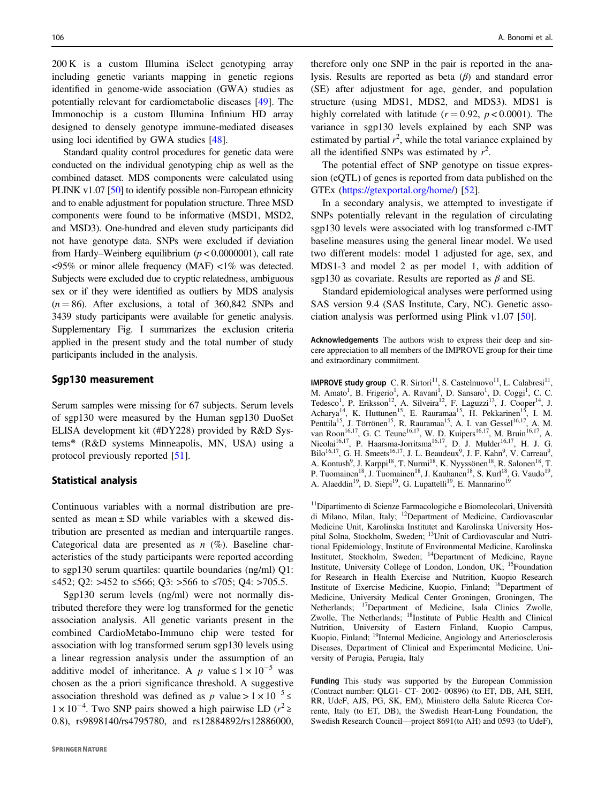200 K is a custom Illumina iSelect genotyping array including genetic variants mapping in genetic regions identified in genome-wide association (GWA) studies as potentially relevant for cardiometabolic diseases [\[49](#page-8-0)]. The Immonochip is a custom Illumina Infinium HD array designed to densely genotype immune-mediated diseases using loci identified by GWA studies [[48\]](#page-8-0).

Standard quality control procedures for genetic data were conducted on the individual genotyping chip as well as the combined dataset. MDS components were calculated using PLINK v1.07 [[50\]](#page-8-0) to identify possible non-European ethnicity and to enable adjustment for population structure. Three MSD components were found to be informative (MSD1, MSD2, and MSD3). One-hundred and eleven study participants did not have genotype data. SNPs were excluded if deviation from Hardy–Weinberg equilibrium  $(p < 0.0000001)$ , call rate <95% or minor allele frequency (MAF) <1% was detected. Subjects were excluded due to cryptic relatedness, ambiguous sex or if they were identified as outliers by MDS analysis  $(n = 86)$ . After exclusions, a total of 360,842 SNPs and 3439 study participants were available for genetic analysis. Supplementary Fig. I summarizes the exclusion criteria applied in the present study and the total number of study participants included in the analysis.

#### Sgp130 measurement

Serum samples were missing for 67 subjects. Serum levels of sgp130 were measured by the Human sgp130 DuoSet ELISA development kit (#DY228) provided by R&D Systems® (R&D systems Minneapolis, MN, USA) using a protocol previously reported [[51\]](#page-8-0).

#### Statistical analysis

Continuous variables with a normal distribution are presented as mean  $\pm$  SD while variables with a skewed distribution are presented as median and interquartile ranges. Categorical data are presented as  $n$  (%). Baseline characteristics of the study participants were reported according to sgp130 serum quartiles: quartile boundaries (ng/ml) Q1: ≤452; Q2: >452 to ≤566; Q3: >566 to ≤705; Q4: >705.5.

Sgp130 serum levels (ng/ml) were not normally distributed therefore they were log transformed for the genetic association analysis. All genetic variants present in the combined CardioMetabo-Immuno chip were tested for association with log transformed serum sgp130 levels using a linear regression analysis under the assumption of an additive model of inheritance. A p value ≤  $1 \times 10^{-5}$  was chosen as the a priori significance threshold. A suggestive association threshold was defined as p value >  $1 \times 10^{-5} \le$  $1 \times 10^{-4}$ . Two SNP pairs showed a high pairwise LD ( $r^2$  ≥ 0.8), rs9898140/rs4795780, and rs12884892/rs12886000,

therefore only one SNP in the pair is reported in the analysis. Results are reported as beta  $(\beta)$  and standard error (SE) after adjustment for age, gender, and population structure (using MDS1, MDS2, and MDS3). MDS1 is highly correlated with latitude  $(r = 0.92, p < 0.0001)$ . The variance in sgp130 levels explained by each SNP was estimated by partial  $r^2$ , while the total variance explained by all the identified SNPs was estimated by  $r^2$ .

The potential effect of SNP genotype on tissue expression (eQTL) of genes is reported from data published on the GTEx (<https://gtexportal.org/home/>) [\[52](#page-8-0)].

In a secondary analysis, we attempted to investigate if SNPs potentially relevant in the regulation of circulating sgp130 levels were associated with log transformed c-IMT baseline measures using the general linear model. We used two different models: model 1 adjusted for age, sex, and MDS1-3 and model 2 as per model 1, with addition of sgp130 as covariate. Results are reported as  $\beta$  and SE.

Standard epidemiological analyses were performed using SAS version 9.4 (SAS Institute, Cary, NC). Genetic association analysis was performed using Plink v1.07 [[50\]](#page-8-0).

Acknowledgements The authors wish to express their deep and sincere appreciation to all members of the IMPROVE group for their time and extraordinary commitment.

IMPROVE study group C. R. Sirtori<sup>11</sup>, S. Castelnuovo<sup>11</sup>, L. Calabresi<sup>11</sup>, M. Amato<sup>1</sup>, B. Frigerio<sup>1</sup>, A. Ravani<sup>1</sup>, D. Sansaro<sup>1</sup>, D. Coggi<sup>1</sup>, C. C. Tedesco<sup>1</sup>, P. Eriksson<sup>12</sup>, A. Silveira<sup>12</sup>, F. Laguzzi<sup>13</sup>, J. Cooper<sup>14</sup>, J. Acharya<sup>14</sup>, K. Huttunen<sup>15</sup>, E. Rauramaa<sup>15</sup>, H. Pekkarinen<sup>15</sup>, I. M. Penttila<sup>15</sup>, J. Törrönen<sup>15</sup>, R. Rauramaa<sup>15</sup>, A. I. van Gessel<sup>16,17</sup>, A. M. van Roon<sup>16,17</sup>, G. C. Teune<sup>16,17</sup>, W. D. Kuipers<sup>16,17</sup>, M. Bruin<sup>16,17</sup>, A. Nicolai<sup>16,17</sup>, P. Haarsma-Jorritsma<sup>16,17</sup>, D. J. Mulder<sup>16,17</sup>, H. J. G. Bilo<sup>16,17</sup>, G. H. Smeets<sup>16,17</sup>, J. L. Beaudeux<sup>9</sup>, J. F. Kahn<sup>9</sup>, V. Carreau<sup>9</sup>, A. Kontush<sup>9</sup>, J. Karppi<sup>18</sup>, T. Nurmi<sup>18</sup>, K. Nyyssönen<sup>18</sup>, R. Salonen<sup>18</sup>, T. P. Tuomainen<sup>18</sup>, J. Tuomainen<sup>18</sup>, J. Kauhanen<sup>18</sup>, S. Kurl<sup>18</sup>, G. Vaudo<sup>19</sup>, A. Alaeddin<sup>19</sup>, D. Siepi<sup>19</sup>, G. Lupattelli<sup>19</sup>, E. Mannarino<sup>19</sup>

11Dipartimento di Scienze Farmacologiche e Biomolecolari, Università di Milano, Milan, Italy; 12Department of Medicine, Cardiovascular Medicine Unit, Karolinska Institutet and Karolinska University Hospital Solna, Stockholm, Sweden; 13Unit of Cardiovascular and Nutritional Epidemiology, Institute of Environmental Medicine, Karolinska Institutet, Stockholm, Sweden; 14Department of Medicine, Rayne Institute, University College of London, London, UK; 15Foundation for Research in Health Exercise and Nutrition, Kuopio Research Institute of Exercise Medicine, Kuopio, Finland; 16Department of Medicine, University Medical Center Groningen, Groningen, The Netherlands; <sup>17</sup>Department of Medicine, Isala Clinics Zwolle, Zwolle, The Netherlands; <sup>18</sup>Institute of Public Health and Clinical Nutrition, University of Eastern Finland, Kuopio Campus, Kuopio, Finland; <sup>19</sup>Internal Medicine, Angiology and Arteriosclerosis Diseases, Department of Clinical and Experimental Medicine, University of Perugia, Perugia, Italy

Funding This study was supported by the European Commission (Contract number: QLG1- CT- 2002- 00896) (to ET, DB, AH, SEH, RR, UdeF, AJS, PG, SK, EM), Ministero della Salute Ricerca Corrente, Italy (to ET, DB), the Swedish Heart-Lung Foundation, the Swedish Research Council—project 8691(to AH) and 0593 (to UdeF),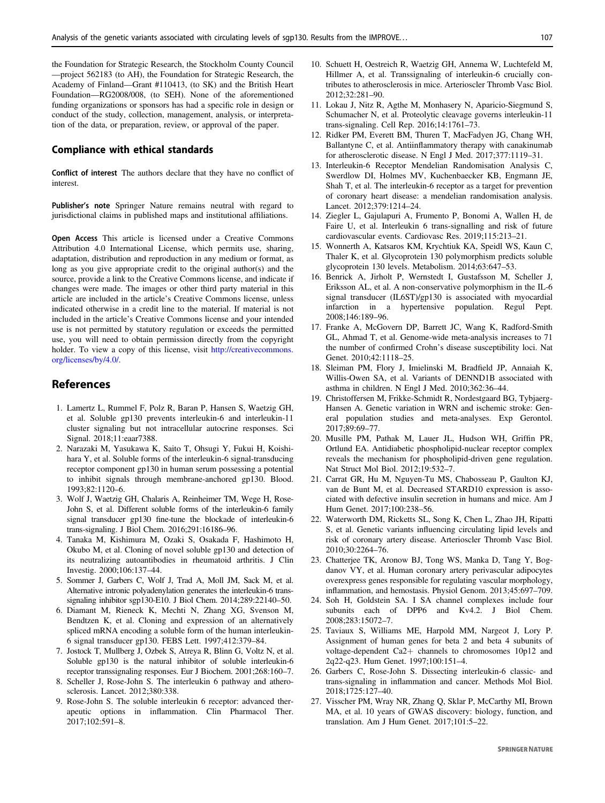<span id="page-7-0"></span>the Foundation for Strategic Research, the Stockholm County Council —project 562183 (to AH), the Foundation for Strategic Research, the Academy of Finland—Grant #110413, (to SK) and the British Heart Foundation—RG2008/008, (to SEH). None of the aforementioned funding organizations or sponsors has had a specific role in design or conduct of the study, collection, management, analysis, or interpretation of the data, or preparation, review, or approval of the paper.

#### Compliance with ethical standards

Conflict of interest The authors declare that they have no conflict of interest.

Publisher's note Springer Nature remains neutral with regard to jurisdictional claims in published maps and institutional affiliations.

Open Access This article is licensed under a Creative Commons Attribution 4.0 International License, which permits use, sharing, adaptation, distribution and reproduction in any medium or format, as long as you give appropriate credit to the original author(s) and the source, provide a link to the Creative Commons license, and indicate if changes were made. The images or other third party material in this article are included in the article's Creative Commons license, unless indicated otherwise in a credit line to the material. If material is not included in the article's Creative Commons license and your intended use is not permitted by statutory regulation or exceeds the permitted use, you will need to obtain permission directly from the copyright holder. To view a copy of this license, visit [http://creativecommons.](http://creativecommons.org/licenses/by/4.0/) [org/licenses/by/4.0/.](http://creativecommons.org/licenses/by/4.0/)

#### References

- 1. Lamertz L, Rummel F, Polz R, Baran P, Hansen S, Waetzig GH, et al. Soluble gp130 prevents interleukin-6 and interleukin-11 cluster signaling but not intracellular autocrine responses. Sci Signal. 2018;11:eaar7388.
- 2. Narazaki M, Yasukawa K, Saito T, Ohsugi Y, Fukui H, Koishihara Y, et al. Soluble forms of the interleukin-6 signal-transducing receptor component gp130 in human serum possessing a potential to inhibit signals through membrane-anchored gp130. Blood. 1993;82:1120–6.
- 3. Wolf J, Waetzig GH, Chalaris A, Reinheimer TM, Wege H, Rose-John S, et al. Different soluble forms of the interleukin-6 family signal transducer gp130 fine-tune the blockade of interleukin-6 trans-signaling. J Biol Chem. 2016;291:16186–96.
- 4. Tanaka M, Kishimura M, Ozaki S, Osakada F, Hashimoto H, Okubo M, et al. Cloning of novel soluble gp130 and detection of its neutralizing autoantibodies in rheumatoid arthritis. J Clin Investig. 2000;106:137–44.
- 5. Sommer J, Garbers C, Wolf J, Trad A, Moll JM, Sack M, et al. Alternative intronic polyadenylation generates the interleukin-6 transsignaling inhibitor sgp130-E10. J Biol Chem. 2014;289:22140–50.
- 6. Diamant M, Rieneck K, Mechti N, Zhang XG, Svenson M, Bendtzen K, et al. Cloning and expression of an alternatively spliced mRNA encoding a soluble form of the human interleukin-6 signal transducer gp130. FEBS Lett. 1997;412:379–84.
- 7. Jostock T, Mullberg J, Ozbek S, Atreya R, Blinn G, Voltz N, et al. Soluble gp130 is the natural inhibitor of soluble interleukin-6 receptor transsignaling responses. Eur J Biochem. 2001;268:160–7.
- 8. Scheller J, Rose-John S. The interleukin 6 pathway and atherosclerosis. Lancet. 2012;380:338.
- 9. Rose-John S. The soluble interleukin 6 receptor: advanced therapeutic options in inflammation. Clin Pharmacol Ther. 2017;102:591–8.
- 10. Schuett H, Oestreich R, Waetzig GH, Annema W, Luchtefeld M, Hillmer A, et al. Transsignaling of interleukin-6 crucially contributes to atherosclerosis in mice. Arterioscler Thromb Vasc Biol. 2012;32:281–90.
- 11. Lokau J, Nitz R, Agthe M, Monhasery N, Aparicio-Siegmund S, Schumacher N, et al. Proteolytic cleavage governs interleukin-11 trans-signaling. Cell Rep. 2016;14:1761–73.
- 12. Ridker PM, Everett BM, Thuren T, MacFadyen JG, Chang WH, Ballantyne C, et al. Antiinflammatory therapy with canakinumab for atherosclerotic disease. N Engl J Med. 2017;377:1119–31.
- 13. Interleukin-6 Receptor Mendelian Randomisation Analysis C, Swerdlow DI, Holmes MV, Kuchenbaecker KB, Engmann JE, Shah T, et al. The interleukin-6 receptor as a target for prevention of coronary heart disease: a mendelian randomisation analysis. Lancet. 2012;379:1214–24.
- 14. Ziegler L, Gajulapuri A, Frumento P, Bonomi A, Wallen H, de Faire U, et al. Interleukin 6 trans-signalling and risk of future cardiovascular events. Cardiovasc Res. 2019;115:213–21.
- 15. Wonnerth A, Katsaros KM, Krychtiuk KA, Speidl WS, Kaun C, Thaler K, et al. Glycoprotein 130 polymorphism predicts soluble glycoprotein 130 levels. Metabolism. 2014;63:647–53.
- 16. Benrick A, Jirholt P, Wernstedt I, Gustafsson M, Scheller J, Eriksson AL, et al. A non-conservative polymorphism in the IL-6 signal transducer (IL6ST)/gp130 is associated with myocardial infarction in a hypertensive population. Regul Pept. 2008;146:189–96.
- 17. Franke A, McGovern DP, Barrett JC, Wang K, Radford-Smith GL, Ahmad T, et al. Genome-wide meta-analysis increases to 71 the number of confirmed Crohn's disease susceptibility loci. Nat Genet. 2010;42:1118–25.
- 18. Sleiman PM, Flory J, Imielinski M, Bradfield JP, Annaiah K, Willis-Owen SA, et al. Variants of DENND1B associated with asthma in children. N Engl J Med. 2010;362:36–44.
- 19. Christoffersen M, Frikke-Schmidt R, Nordestgaard BG, Tybjaerg-Hansen A. Genetic variation in WRN and ischemic stroke: General population studies and meta-analyses. Exp Gerontol. 2017;89:69–77.
- 20. Musille PM, Pathak M, Lauer JL, Hudson WH, Griffin PR, Ortlund EA. Antidiabetic phospholipid-nuclear receptor complex reveals the mechanism for phospholipid-driven gene regulation. Nat Struct Mol Biol. 2012;19:532–7.
- 21. Carrat GR, Hu M, Nguyen-Tu MS, Chabosseau P, Gaulton KJ, van de Bunt M, et al. Decreased STARD10 expression is associated with defective insulin secretion in humans and mice. Am J Hum Genet. 2017;100:238–56.
- 22. Waterworth DM, Ricketts SL, Song K, Chen L, Zhao JH, Ripatti S, et al. Genetic variants influencing circulating lipid levels and risk of coronary artery disease. Arterioscler Thromb Vasc Biol. 2010;30:2264–76.
- 23. Chatterjee TK, Aronow BJ, Tong WS, Manka D, Tang Y, Bogdanov VY, et al. Human coronary artery perivascular adipocytes overexpress genes responsible for regulating vascular morphology, inflammation, and hemostasis. Physiol Genom. 2013;45:697–709.
- 24. Soh H, Goldstein SA. I SA channel complexes include four subunits each of DPP6 and Kv4.2. J Biol Chem. 2008;283:15072–7.
- 25. Taviaux S, Williams ME, Harpold MM, Nargeot J, Lory P. Assignment of human genes for beta 2 and beta 4 subunits of voltage-dependent Ca2+ channels to chromosomes 10p12 and 2q22-q23. Hum Genet. 1997;100:151–4.
- 26. Garbers C, Rose-John S. Dissecting interleukin-6 classic- and trans-signaling in inflammation and cancer. Methods Mol Biol. 2018;1725:127–40.
- 27. Visscher PM, Wray NR, Zhang Q, Sklar P, McCarthy MI, Brown MA, et al. 10 years of GWAS discovery: biology, function, and translation. Am J Hum Genet. 2017;101:5–22.